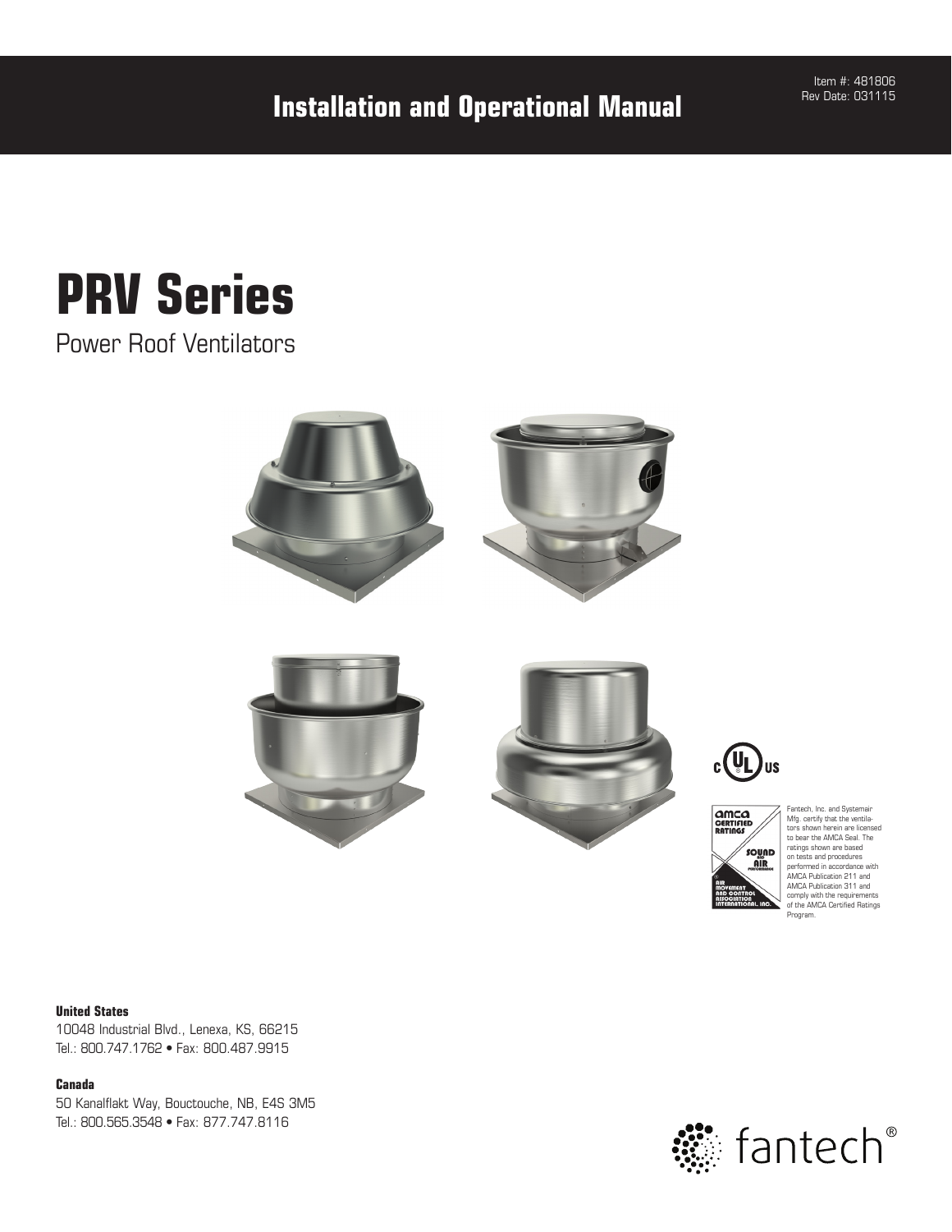**Installation and Operational Manual**

Item #: 481806 Rev Date: 031115

# **PRV Series**

Power Roof Ventilators







Fantech, Inc. and Systemair Mfg. certify that the ventila-tors shown herein are licensed to bear the AMCA Seal. The ratings shown are based on tests and procedures performed in accordance with AMCA Publication 211 and AMCA Publication 311 and comply with the requirements of the AMCA Certified Ratings Program.

#### **United States**

10048 Industrial Blvd., Lenexa, KS, 66215 Tel.: 800.747.1762 • Fax: 800.487.9915

#### **Canada**

50 Kanalflakt Way, Bouctouche, NB, E4S 3M5 Tel.: 800.565.3548 • Fax: 877.747.8116

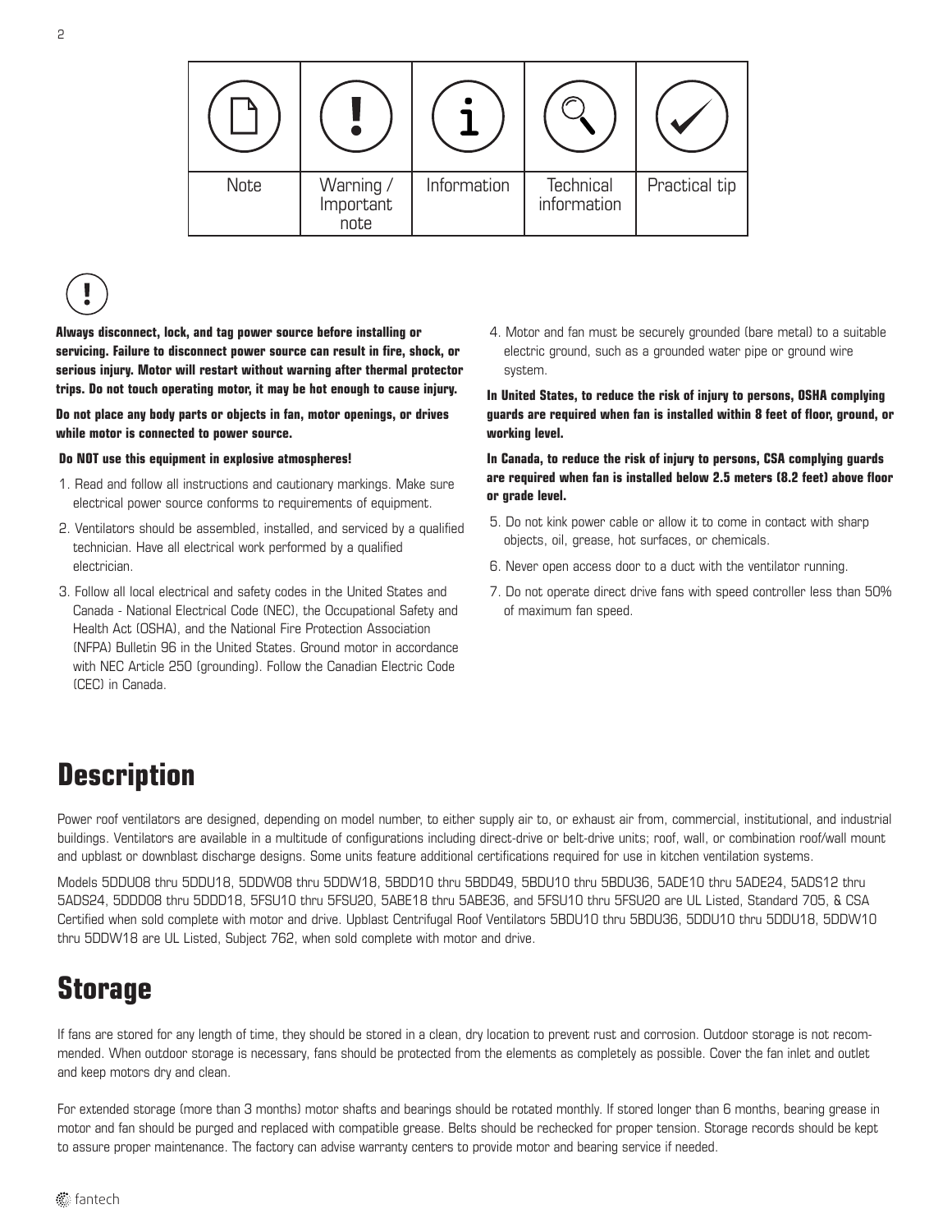

**Always disconnect, lock, and tag power source before installing or servicing. Failure to disconnect power source can result in fire, shock, or serious injury. Motor will restart without warning after thermal protector trips. Do not touch operating motor, it may be hot enough to cause injury.**

**Do not place any body parts or objects in fan, motor openings, or drives while motor is connected to power source.**

#### **Do NOT use this equipment in explosive atmospheres!**

- 1. Read and follow all instructions and cautionary markings. Make sure electrical power source conforms to requirements of equipment.
- 2. Ventilators should be assembled, installed, and serviced by a qualified technician. Have all electrical work performed by a qualified electrician.
- 3. Follow all local electrical and safety codes in the United States and Canada - National Electrical Code (NEC), the Occupational Safety and Health Act (OSHA), and the National Fire Protection Association (NFPA) Bulletin 96 in the United States. Ground motor in accordance with NEC Article 250 (grounding). Follow the Canadian Electric Code (CEC) in Canada.

4. Motor and fan must be securely grounded (bare metal) to a suitable electric ground, such as a grounded water pipe or ground wire system.

**In United States, to reduce the risk of injury to persons, OSHA complying guards are required when fan is installed within 8 feet of floor, ground, or working level.** 

**In Canada, to reduce the risk of injury to persons, CSA complying guards are required when fan is installed below 2.5 meters (8.2 feet) above floor or grade level.**

- 5. Do not kink power cable or allow it to come in contact with sharp objects, oil, grease, hot surfaces, or chemicals.
- 6. Never open access door to a duct with the ventilator running.
- 7. Do not operate direct drive fans with speed controller less than 50% of maximum fan speed.

### **Description**

Power roof ventilators are designed, depending on model number, to either supply air to, or exhaust air from, commercial, institutional, and industrial buildings. Ventilators are available in a multitude of configurations including direct-drive or belt-drive units; roof, wall, or combination roof/wall mount and upblast or downblast discharge designs. Some units feature additional certifications required for use in kitchen ventilation systems.

Models 5DDU08 thru 5DDU18, 5DDW08 thru 5DDW18, 5BDD10 thru 5BDD49, 5BDU10 thru 5BDU36, 5ADE10 thru 5ADE24, 5ADS12 thru 5ADS24, 5DDD08 thru 5DDD18, 5FSU10 thru 5FSU20, 5ABE18 thru 5ABE36, and 5FSU10 thru 5FSU20 are UL Listed, Standard 705, & CSA Certified when sold complete with motor and drive. Upblast Centrifugal Roof Ventilators 5BDU10 thru 5BDU36, 5DDU10 thru 5DDU18, 5DDW10 thru 5DDW18 are UL Listed, Subject 762, when sold complete with motor and drive.

### **Storage**

If fans are stored for any length of time, they should be stored in a clean, dry location to prevent rust and corrosion. Outdoor storage is not recommended. When outdoor storage is necessary, fans should be protected from the elements as completely as possible. Cover the fan inlet and outlet and keep motors dry and clean.

For extended storage (more than 3 months) motor shafts and bearings should be rotated monthly. If stored longer than 6 months, bearing grease in motor and fan should be purged and replaced with compatible grease. Belts should be rechecked for proper tension. Storage records should be kept to assure proper maintenance. The factory can advise warranty centers to provide motor and bearing service if needed.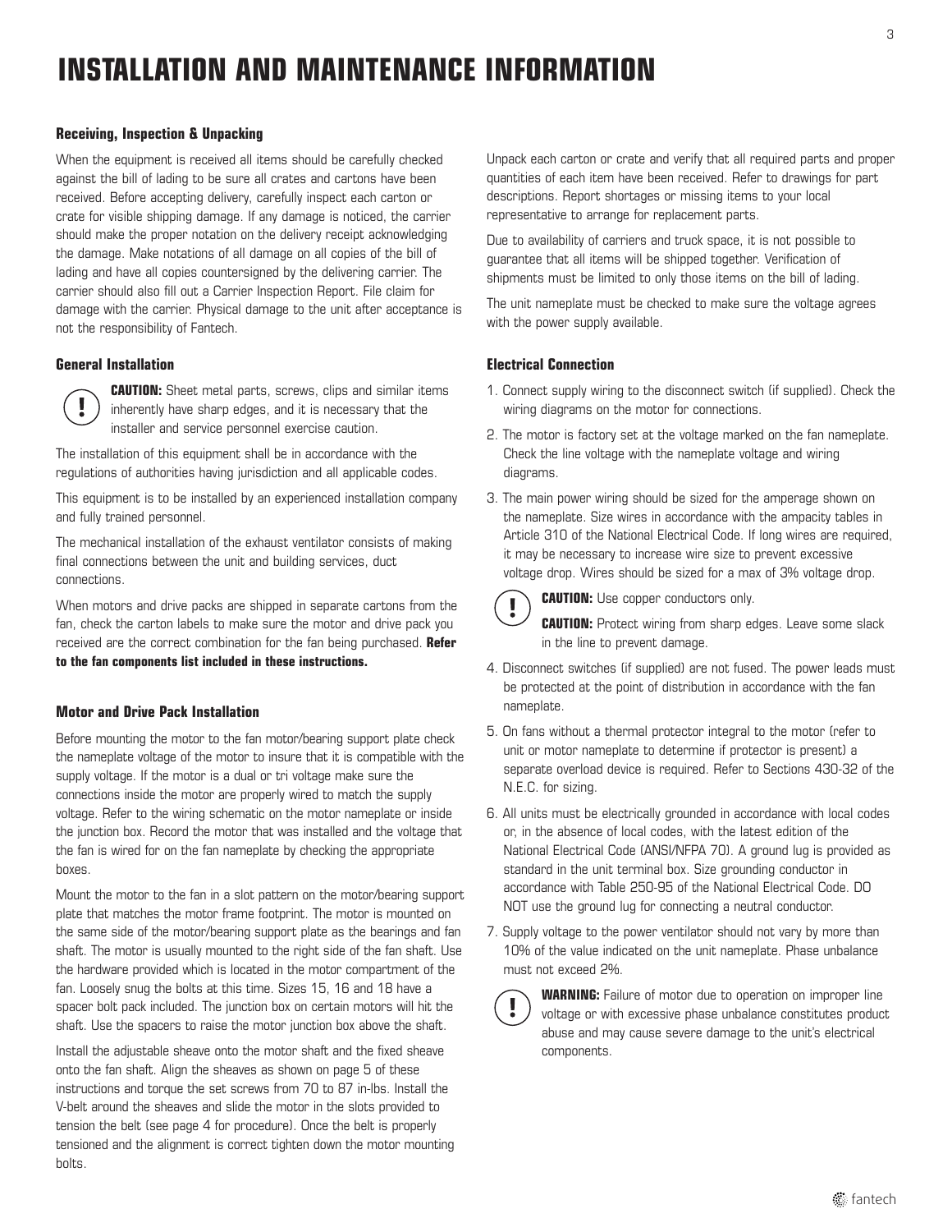### **INSTALLATION AND MAINTENANCE INFORMATION**

#### **Receiving, Inspection & Unpacking**

When the equipment is received all items should be carefully checked against the bill of lading to be sure all crates and cartons have been received. Before accepting delivery, carefully inspect each carton or crate for visible shipping damage. If any damage is noticed, the carrier should make the proper notation on the delivery receipt acknowledging the damage. Make notations of all damage on all copies of the bill of lading and have all copies countersigned by the delivering carrier. The carrier should also fill out a Carrier Inspection Report. File claim for damage with the carrier. Physical damage to the unit after acceptance is not the responsibility of Fantech.

#### **General Installation**



**CAUTION:** Sheet metal parts, screws, clips and similar items inherently have sharp edges, and it is necessary that the installer and service personnel exercise caution.

The installation of this equipment shall be in accordance with the regulations of authorities having jurisdiction and all applicable codes.

This equipment is to be installed by an experienced installation company and fully trained personnel.

The mechanical installation of the exhaust ventilator consists of making final connections between the unit and building services, duct connections.

When motors and drive packs are shipped in separate cartons from the fan, check the carton labels to make sure the motor and drive pack you received are the correct combination for the fan being purchased. **Refer to the fan components list included in these instructions.**

#### **Motor and Drive Pack Installation**

Before mounting the motor to the fan motor/bearing support plate check the nameplate voltage of the motor to insure that it is compatible with the supply voltage. If the motor is a dual or tri voltage make sure the connections inside the motor are properly wired to match the supply voltage. Refer to the wiring schematic on the motor nameplate or inside the junction box. Record the motor that was installed and the voltage that the fan is wired for on the fan nameplate by checking the appropriate boxes.

Mount the motor to the fan in a slot pattern on the motor/bearing support plate that matches the motor frame footprint. The motor is mounted on the same side of the motor/bearing support plate as the bearings and fan shaft. The motor is usually mounted to the right side of the fan shaft. Use the hardware provided which is located in the motor compartment of the fan. Loosely snug the bolts at this time. Sizes 15, 16 and 18 have a spacer bolt pack included. The junction box on certain motors will hit the shaft. Use the spacers to raise the motor junction box above the shaft.

Install the adjustable sheave onto the motor shaft and the fixed sheave onto the fan shaft. Align the sheaves as shown on page 5 of these instructions and torque the set screws from 70 to 87 in-lbs. Install the V-belt around the sheaves and slide the motor in the slots provided to tension the belt (see page 4 for procedure). Once the belt is properly tensioned and the alignment is correct tighten down the motor mounting bolts.

Unpack each carton or crate and verify that all required parts and proper quantities of each item have been received. Refer to drawings for part descriptions. Report shortages or missing items to your local representative to arrange for replacement parts.

Due to availability of carriers and truck space, it is not possible to guarantee that all items will be shipped together. Verification of shipments must be limited to only those items on the bill of lading.

The unit nameplate must be checked to make sure the voltage agrees with the power supply available.

#### **Electrical Connection**

- 1. Connect supply wiring to the disconnect switch (if supplied). Check the wiring diagrams on the motor for connections.
- 2. The motor is factory set at the voltage marked on the fan nameplate. Check the line voltage with the nameplate voltage and wiring diagrams.
- 3. The main power wiring should be sized for the amperage shown on the nameplate. Size wires in accordance with the ampacity tables in Article 310 of the National Electrical Code. If long wires are required, it may be necessary to increase wire size to prevent excessive voltage drop. Wires should be sized for a max of 3% voltage drop.



**CAUTION:** Use copper conductors only.

**CAUTION:** Protect wiring from sharp edges. Leave some slack in the line to prevent damage.

- 4. Disconnect switches (if supplied) are not fused. The power leads must be protected at the point of distribution in accordance with the fan nameplate.
- 5. On fans without a thermal protector integral to the motor (refer to unit or motor nameplate to determine if protector is present) a separate overload device is required. Refer to Sections 430-32 of the N.E.C. for sizing.
- 6. All units must be electrically grounded in accordance with local codes or, in the absence of local codes, with the latest edition of the National Electrical Code (ANSI/NFPA 70). A ground lug is provided as standard in the unit terminal box. Size grounding conductor in accordance with Table 250-95 of the National Electrical Code. DO NOT use the ground lug for connecting a neutral conductor.
- 7. Supply voltage to the power ventilator should not vary by more than 10% of the value indicated on the unit nameplate. Phase unbalance must not exceed 2%.

**WARNING:** Failure of motor due to operation on improper line voltage or with excessive phase unbalance constitutes product abuse and may cause severe damage to the unit's electrical components.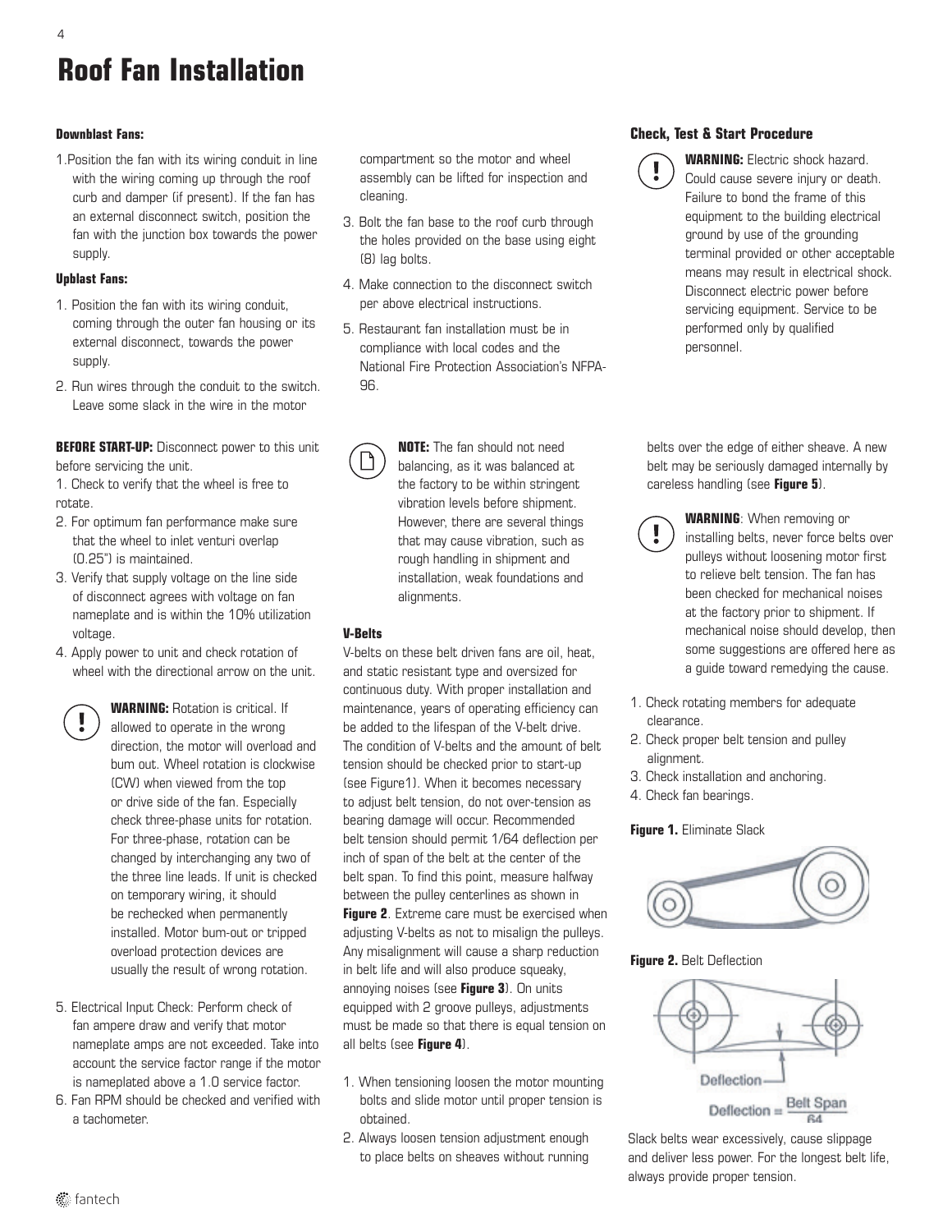### **Roof Fan Installation**

#### **Downblast Fans:**

1.Position the fan with its wiring conduit in line with the wiring coming up through the roof curb and damper (if present). If the fan has an external disconnect switch, position the fan with the junction box towards the power supply.

#### **Upblast Fans:**

- 1. Position the fan with its wiring conduit, coming through the outer fan housing or its external disconnect, towards the power supply.
- 2. Run wires through the conduit to the switch. Leave some slack in the wire in the motor

**BEFORE START-UP:** Disconnect power to this unit before servicing the unit.

1. Check to verify that the wheel is free to rotate.

- 2. For optimum fan performance make sure that the wheel to inlet venturi overlap (0.25") is maintained.
- 3. Verify that supply voltage on the line side of disconnect agrees with voltage on fan nameplate and is within the 10% utilization voltage.
- 4. Apply power to unit and check rotation of wheel with the directional arrow on the unit.
	- **WARNING:** Rotation is critical. If allowed to operate in the wrong direction, the motor will overload and bum out. Wheel rotation is clockwise (CW) when viewed from the top or drive side of the fan. Especially check three-phase units for rotation. For three-phase, rotation can be changed by interchanging any two of the three line leads. If unit is checked on temporary wiring, it should be rechecked when permanently installed. Motor bum-out or tripped overload protection devices are usually the result of wrong rotation.
- 5. Electrical Input Check: Perform check of fan ampere draw and verify that motor nameplate amps are not exceeded. Take into account the service factor range if the motor is nameplated above a 1.0 service factor.
- 6. Fan RPM should be checked and verified with a tachometer.

compartment so the motor and wheel assembly can be lifted for inspection and cleaning.

- 3. Bolt the fan base to the roof curb through the holes provided on the base using eight (8) lag bolts.
- 4. Make connection to the disconnect switch per above electrical instructions.
- 5. Restaurant fan installation must be in compliance with local codes and the National Fire Protection Association's NFPA-96.
	- **NOTE:** The fan should not need balancing, as it was balanced at the factory to be within stringent vibration levels before shipment. However, there are several things that may cause vibration, such as rough handling in shipment and installation, weak foundations and alignments.

#### **V-Belts**

V-belts on these belt driven fans are oil, heat, and static resistant type and oversized for continuous duty. With proper installation and maintenance, years of operating efficiency can be added to the lifespan of the V-belt drive. The condition of V-belts and the amount of belt tension should be checked prior to start-up (see Figure1). When it becomes necessary to adjust belt tension, do not over-tension as bearing damage will occur. Recommended belt tension should permit 1/64 deflection per inch of span of the belt at the center of the belt span. To find this point, measure halfway between the pulley centerlines as shown in **Figure 2**. Extreme care must be exercised when adjusting V-belts as not to misalign the pulleys. Any misalignment will cause a sharp reduction in belt life and will also produce squeaky, annoying noises (see **Figure 3**). On units equipped with 2 groove pulleys, adjustments must be made so that there is equal tension on all belts (see **Figure 4**).

- 1. When tensioning loosen the motor mounting bolts and slide motor until proper tension is obtained.
- 2. Always loosen tension adjustment enough to place belts on sheaves without running

#### **Check, Test & Start Procedure**



**WARNING:** Electric shock hazard. Could cause severe injury or death. Failure to bond the frame of this equipment to the building electrical ground by use of the grounding terminal provided or other acceptable means may result in electrical shock. Disconnect electric power before servicing equipment. Service to be performed only by qualified personnel.

belts over the edge of either sheave. A new belt may be seriously damaged internally by careless handling (see **Figure 5**).



**WARNING**: When removing or installing belts, never force belts over pulleys without loosening motor first to relieve belt tension. The fan has been checked for mechanical noises at the factory prior to shipment. If mechanical noise should develop, then some suggestions are offered here as a guide toward remedying the cause.

- 1. Check rotating members for adequate clearance.
- 2. Check proper belt tension and pulley alignment.
- 3. Check installation and anchoring.
- 4. Check fan bearings.

#### **Figure 1.** Eliminate Slack



#### **Figure 2.** Belt Deflection



Slack belts wear excessively, cause slippage and deliver less power. For the longest belt life, always provide proper tension.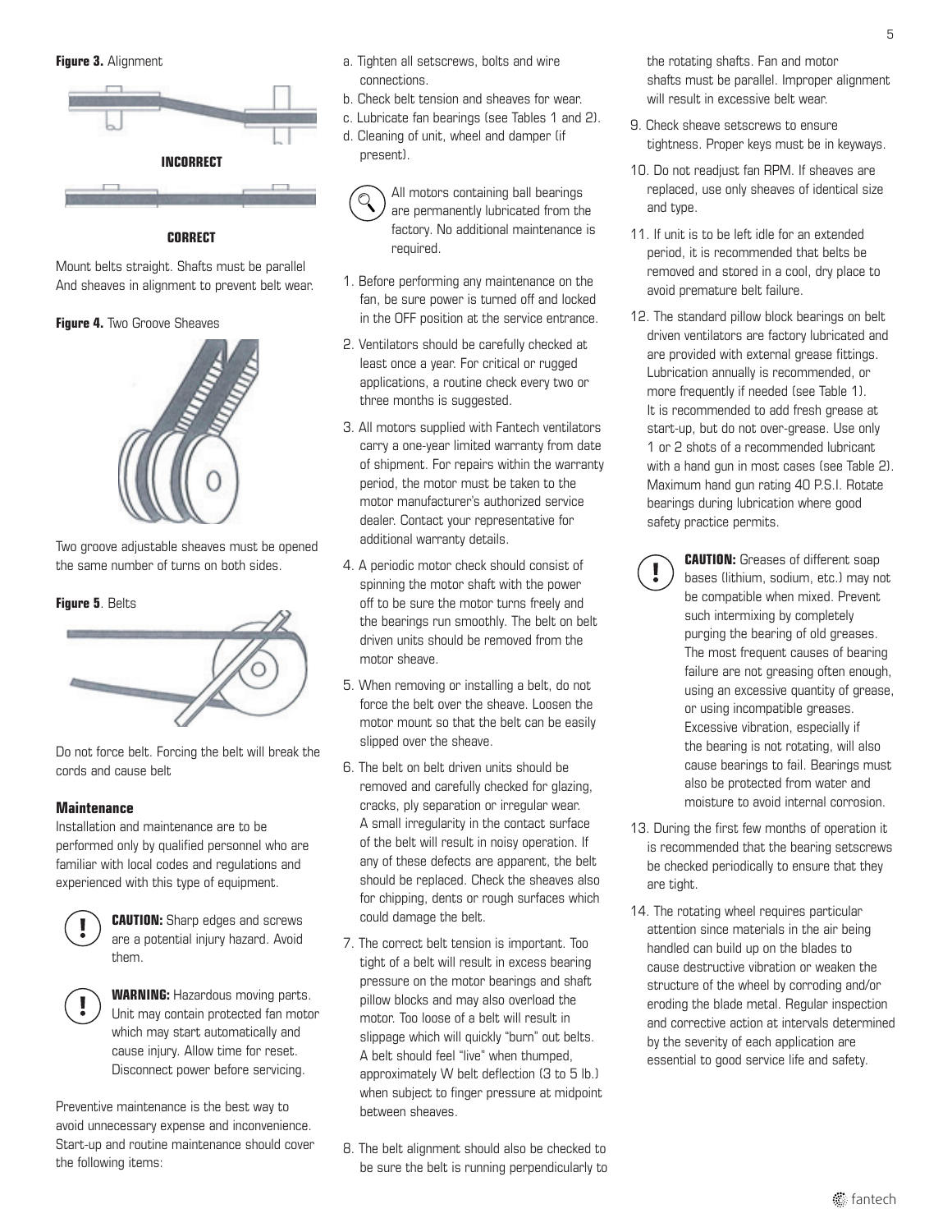**Figure 3.** Alignment



#### **CORRECT**

Mount belts straight. Shafts must be parallel And sheaves in alignment to prevent belt wear.

#### **Figure 4.** Two Groove Sheaves



Two groove adjustable sheaves must be opened the same number of turns on both sides.

#### **Figure 5**. Belts



Do not force belt. Forcing the belt will break the cords and cause belt

#### **Maintenance**

Installation and maintenance are to be performed only by qualified personnel who are familiar with local codes and regulations and experienced with this type of equipment.



**CAUTION:** Sharp edges and screws are a potential injury hazard. Avoid them.



**WARNING: Hazardous moving parts.** Unit may contain protected fan motor which may start automatically and cause injury. Allow time for reset. Disconnect power before servicing.

Preventive maintenance is the best way to avoid unnecessary expense and inconvenience. Start-up and routine maintenance should cover the following items:

- a. Tighten all setscrews, bolts and wire connections.
- b. Check belt tension and sheaves for wear.
- c. Lubricate fan bearings (see Tables 1 and 2).
- d. Cleaning of unit, wheel and damper (if present).

All motors containing ball bearings are permanently lubricated from the factory. No additional maintenance is required.

- 1. Before performing any maintenance on the fan, be sure power is turned off and locked in the OFF position at the service entrance.
- 2. Ventilators should be carefully checked at least once a year. For critical or rugged applications, a routine check every two or three months is suggested.
- 3. All motors supplied with Fantech ventilators carry a one-year limited warranty from date of shipment. For repairs within the warranty period, the motor must be taken to the motor manufacturer's authorized service dealer. Contact your representative for additional warranty details.
- 4. A periodic motor check should consist of spinning the motor shaft with the power off to be sure the motor turns freely and the bearings run smoothly. The belt on belt driven units should be removed from the motor sheave.
- 5. When removing or installing a belt, do not force the belt over the sheave. Loosen the motor mount so that the belt can be easily slipped over the sheave.
- 6. The belt on belt driven units should be removed and carefully checked for glazing, cracks, ply separation or irregular wear. A small irregularity in the contact surface of the belt will result in noisy operation. If any of these defects are apparent, the belt should be replaced. Check the sheaves also for chipping, dents or rough surfaces which could damage the belt.
- 7. The correct belt tension is important. Too tight of a belt will result in excess bearing pressure on the motor bearings and shaft pillow blocks and may also overload the motor. Too loose of a belt will result in slippage which will quickly "burn" out belts. A belt should feel "live" when thumped, approximately W belt deflection (3 to 5 lb.) when subject to finger pressure at midpoint between sheaves.
- 8. The belt alignment should also be checked to be sure the belt is running perpendicularly to

the rotating shafts. Fan and motor shafts must be parallel. Improper alignment will result in excessive belt wear.

- 9. Check sheave setscrews to ensure tightness. Proper keys must be in keyways.
- 10. Do not readjust fan RPM. If sheaves are replaced, use only sheaves of identical size and type.
- 11. If unit is to be left idle for an extended period, it is recommended that belts be removed and stored in a cool, dry place to avoid premature belt failure.
- 12. The standard pillow block bearings on belt driven ventilators are factory lubricated and are provided with external grease fittings. Lubrication annually is recommended, or more frequently if needed (see Table 1). It is recommended to add fresh grease at start-up, but do not over-grease. Use only 1 or 2 shots of a recommended lubricant with a hand gun in most cases (see Table 2). Maximum hand gun rating 40 P.S.I. Rotate bearings during lubrication where good safety practice permits.



**CAUTION:** Greases of different soap bases (lithium, sodium, etc.) may not be compatible when mixed. Prevent such intermixing by completely purging the bearing of old greases. The most frequent causes of bearing failure are not greasing often enough, using an excessive quantity of grease, or using incompatible greases. Excessive vibration, especially if the bearing is not rotating, will also cause bearings to fail. Bearings must also be protected from water and moisture to avoid internal corrosion.

- 13. During the first few months of operation it is recommended that the bearing setscrews be checked periodically to ensure that they are tight.
- 14. The rotating wheel requires particular attention since materials in the air being handled can build up on the blades to cause destructive vibration or weaken the structure of the wheel by corroding and/or eroding the blade metal. Regular inspection and corrective action at intervals determined by the severity of each application are essential to good service life and safety.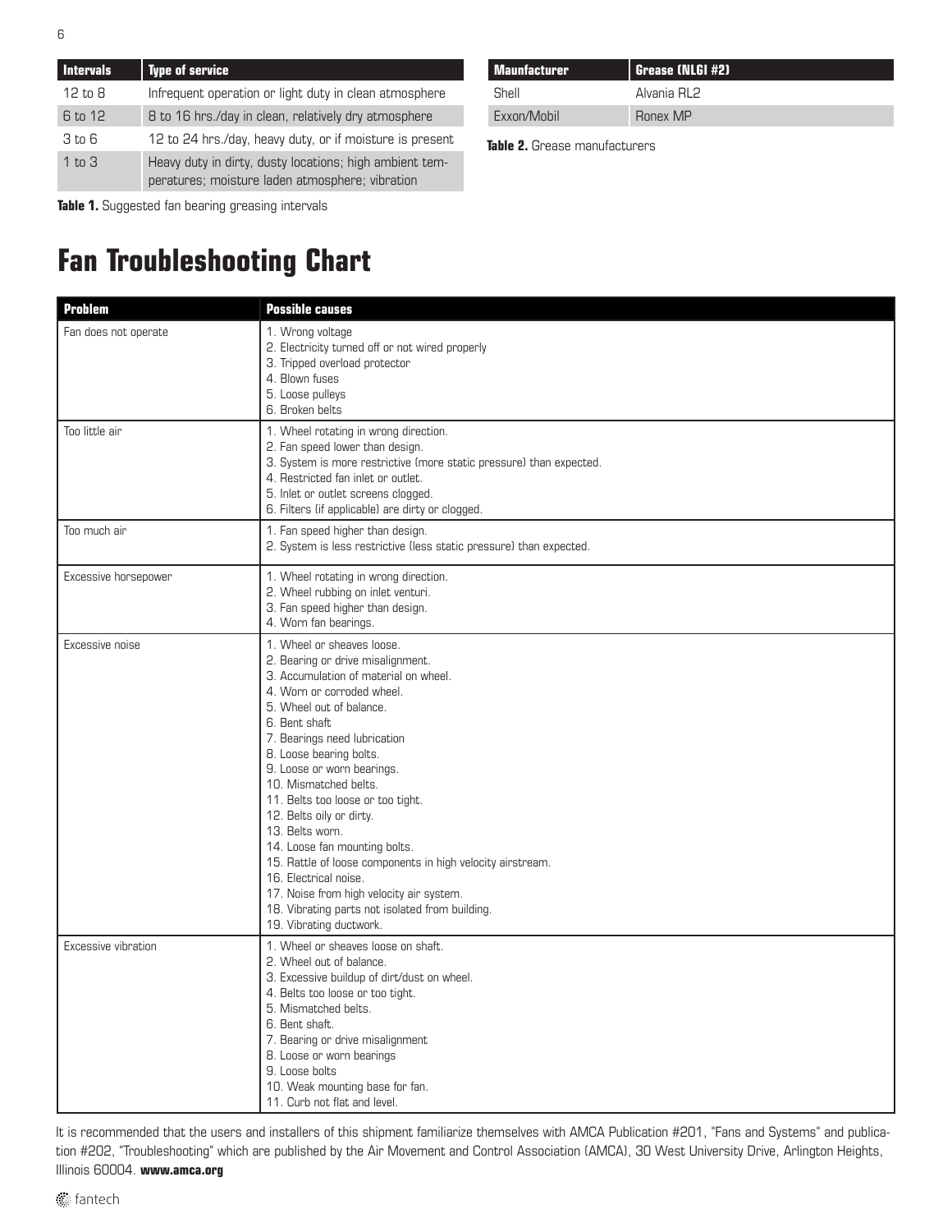| <b>Intervals</b>   | Type of service                                                                                            |
|--------------------|------------------------------------------------------------------------------------------------------------|
| $12 \text{ to } 8$ | Infrequent operation or light duty in clean atmosphere                                                     |
| 6 to 12            | 8 to 16 hrs./day in clean, relatively dry atmosphere                                                       |
| 3 to 6             | 12 to 24 hrs./day, heavy duty, or if moisture is present                                                   |
| 1 to 3             | Heavy duty in dirty, dusty locations; high ambient tem-<br>peratures; moisture laden atmosphere; vibration |

**Table 1.** Suggested fan bearing greasing intervals

### **Fan Troubleshooting Chart**

| Maunfacturer | Grease (NLGI #2) |
|--------------|------------------|
| Shell        | Alvania RI 2     |
| Exxon/Mobil  | Ronex MP         |

**Table 2.** Grease manufacturers

| <b>Problem</b>       | <b>Possible causes</b>                                                                                                                                                                                                                                                                                                                                                                                                                                                                                                                                                                                                                      |
|----------------------|---------------------------------------------------------------------------------------------------------------------------------------------------------------------------------------------------------------------------------------------------------------------------------------------------------------------------------------------------------------------------------------------------------------------------------------------------------------------------------------------------------------------------------------------------------------------------------------------------------------------------------------------|
| Fan does not operate | 1. Wrong voltage<br>2. Electricity turned off or not wired properly<br>3. Tripped overload protector<br>4. Blown fuses<br>5. Loose pulleys<br>6. Broken belts                                                                                                                                                                                                                                                                                                                                                                                                                                                                               |
| Too little air       | 1. Wheel rotating in wrong direction.<br>2. Fan speed lower than design.<br>3. System is more restrictive (more static pressure) than expected.<br>4. Restricted fan inlet or outlet.<br>5. Inlet or outlet screens clogged.<br>6. Filters (if applicable) are dirty or clogged.                                                                                                                                                                                                                                                                                                                                                            |
| Too much air         | 1. Fan speed higher than design.<br>2. System is less restrictive (less static pressure) than expected.                                                                                                                                                                                                                                                                                                                                                                                                                                                                                                                                     |
| Excessive horsepower | 1. Wheel rotating in wrong direction.<br>2. Wheel rubbing on inlet venturi.<br>3. Fan speed higher than design.<br>4. Worn fan bearings.                                                                                                                                                                                                                                                                                                                                                                                                                                                                                                    |
| Excessive noise      | 1. Wheel or sheaves loose.<br>2. Bearing or drive misalignment.<br>3. Accumulation of material on wheel.<br>4. Worn or corroded wheel.<br>5. Wheel out of balance.<br>6. Bent shaft<br>7. Bearings need lubrication<br>8. Loose bearing bolts.<br>9. Loose or worn bearings.<br>10. Mismatched belts.<br>11. Belts too loose or too tight.<br>12. Belts oily or dirty.<br>13. Belts worn.<br>14. Loose fan mounting bolts.<br>15. Rattle of loose components in high velocity airstream.<br>16. Electrical noise.<br>17. Noise from high velocity air system.<br>18. Vibrating parts not isolated from building.<br>19. Vibrating ductwork. |
| Excessive vibration  | 1. Wheel or sheaves loose on shaft.<br>2. Wheel out of balance.<br>3. Excessive buildup of dirt/dust on wheel.<br>4. Belts too loose or too tight.<br>5. Mismatched belts.<br>6. Bent shaft.<br>7. Bearing or drive misalignment<br>8. Loose or worn bearings<br>9. Loose bolts<br>10. Weak mounting base for fan.<br>11. Curb not flat and level.                                                                                                                                                                                                                                                                                          |

It is recommended that the users and installers of this shipment familiarize themselves with AMCA Publication #201, "Fans and Systems" and publication #202, "Troubleshooting" which are published by the Air Movement and Control Association (AMCA), 30 West University Drive, Arlington Heights, Illinois 60004. **www.amca.org**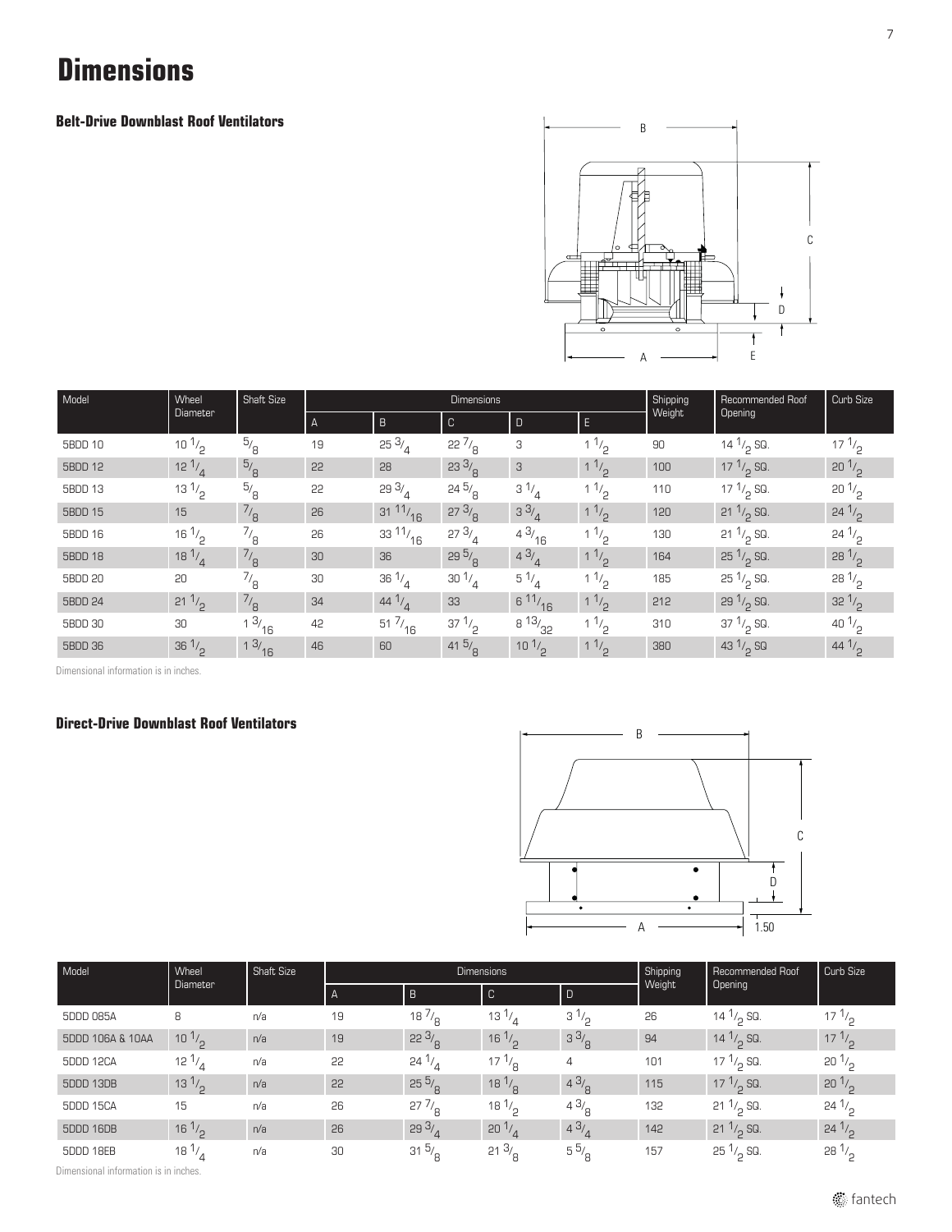### **Dimensions**

**Belt-Drive Downblast Roof Ventilators**



| Model   | Wheel            | Shaft Size       |                |                    | <b>Dimensions</b> | Shipping<br>Weight | Recommended Roof | Curb Size |                      |                                |
|---------|------------------|------------------|----------------|--------------------|-------------------|--------------------|------------------|-----------|----------------------|--------------------------------|
|         | Diameter         |                  | $\overline{A}$ | $\overline{B}$     | C                 | D                  | E.               |           | Opening              |                                |
| 5BDD 10 | 10 $\frac{1}{2}$ | $^{5/6}$         | 19             | $25 \frac{3}{4}$   | $22\frac{7}{6}$   | 3                  | 11/2             | 90        | 14 $1/2$ SQ.         | $17 \frac{1}{2}$               |
| 5BDD 12 | $12^{1/4}$       | $^{5/6}$         | 22             | 28                 | $23 \frac{3}{8}$  | 3                  | $1^{1/2}$        | 100       | 17 $1/2$ SQ.         | $20^{1/2}$                     |
| 5BDD 13 | $13 \frac{1}{2}$ | $^{5/6}$         | 22             | 29 $3/4$           | $24\frac{5}{8}$   | $3^{1/4}$          | $1 \frac{1}{2}$  | 110       | 17 $1/2$ SQ.         | 20 <sup>1</sup> / <sub>2</sub> |
| 5BDD 15 | 15               | $^{7/}_8$        | 26             | $31 \frac{11}{16}$ | $27 \frac{3}{8}$  | 33/4               | $1 \frac{1}{2}$  | 120       | 21 $1/2$ SQ.         | $24^{1/2}$                     |
| 5BDD 16 | $16\frac{1}{2}$  | $^{7/}_{8}$      | 26             | $33\frac{11}{16}$  | 273/4             | 43/16              | 11/2             | 130       | $21 \frac{1}{2}$ SQ. | $24^{1/2}$                     |
| 5BDD 18 | 18 $\frac{1}{4}$ | $^{7/}_8$        | 30             | 36                 | 295/2             | 43/4               | $1^{1/2}$        | 164       | $25\frac{1}{2}$ SQ.  | $28^{1/2}$                     |
| 5BDD 20 | 20               | $^{7}/_8$        | 30             | $36\frac{1}{4}$    | $30^{1/4}$        | $5^{1/4}$          | $1^{1/2}$        | 185       | $25\frac{1}{9}$ SQ.  | $28^{1/2}$                     |
| 5BDD 24 | $21 \frac{1}{2}$ | $^{7/}_8$        | 34             | 44 $1/2$           | 33                | 611/16             | 11/2             | 212       | 29 $1/2$ SQ.         | $32^{1/2}$                     |
| 5BDD 30 | 30               | $1 \frac{3}{16}$ | 42             | $51\frac{7}{16}$   | $37 \frac{1}{9}$  | $8\frac{13}{32}$   | 11/2             | 310       | $37\frac{1}{2}$ SQ.  | 40 $1/2$                       |
| 5BDD 36 | $36\frac{1}{2}$  | $1 \frac{3}{16}$ | 46             | 60                 | $41\frac{5}{8}$   | $10^{1/2}$         | 11/2             | 380       | 43 $1/2$ SQ          | 44 $\frac{1}{2}$               |

Dimensional information is in inches.

#### **Direct-Drive Downblast Roof Ventilators**



| Model            | Wheel            | Shaft Size |    |                  | <b>Dimensions</b>      |                | Shipping | Recommended Roof     | Curb Size                     |  |
|------------------|------------------|------------|----|------------------|------------------------|----------------|----------|----------------------|-------------------------------|--|
|                  | Diameter         |            | A  | B                | C                      | l D            | Weight   | Opening              |                               |  |
| 5DDD 085A        | 8                | n/a        | 19 | 18 $\frac{1}{6}$ | $13^{1/2}$             | $3^{1/2}$      | 26       | 14 $1/2$ SQ.         | $17^{1/2}$                    |  |
| 5DDD 106A & 10AA | $10^{1/2}$       | n/a        | 19 | $22 \frac{3}{8}$ | $16\frac{1}{2}$        | $3^{3}/8$      | 94       | 14 $1/2$ SQ.         | $17^{1/2}$                    |  |
| 5DDD 12CA        | 12 $^{1/4}$      | n/a        | 55 | $24^{1/2}$       | $17^{1/9}$             | 4              | 101      | 17 $\frac{1}{2}$ SQ. | $20^{\frac{1}{2}}$            |  |
| 5DDD 13DB        | $13^{1/2}$       | n/a        | 22 | $25\frac{5}{9}$  | $18\frac{1}{\text{R}}$ | 43/9           | 115      | 17 $1/2$ SQ.         | $20^{1/2}$                    |  |
| 5DDD 15CA        | 15               | n/a        | 26 | $27\frac{7}{6}$  | 18 $\frac{1}{2}$       | $4^{3}/_0$     | 132      | $21 \frac{1}{2}$ SQ. | $24^{1/2}$                    |  |
| 5DDD 16DB        | $16\frac{1}{2}$  | n/a        | 26 | 293/             | $20\frac{1}{4}$        | 43/            | 142      | $21 \frac{1}{2}$ SQ. | $24^{1/2}$                    |  |
| 5DDD 18EB        | 18 $\frac{1}{4}$ | n/a        | 30 | $31\frac{5}{6}$  | $21 \frac{3}{8}$       | $5\frac{5}{6}$ | 157      | $25\frac{1}{2}$ SQ.  | 28 <sup>1</sup><br>$\sqrt{2}$ |  |

Dimensional information is in inches.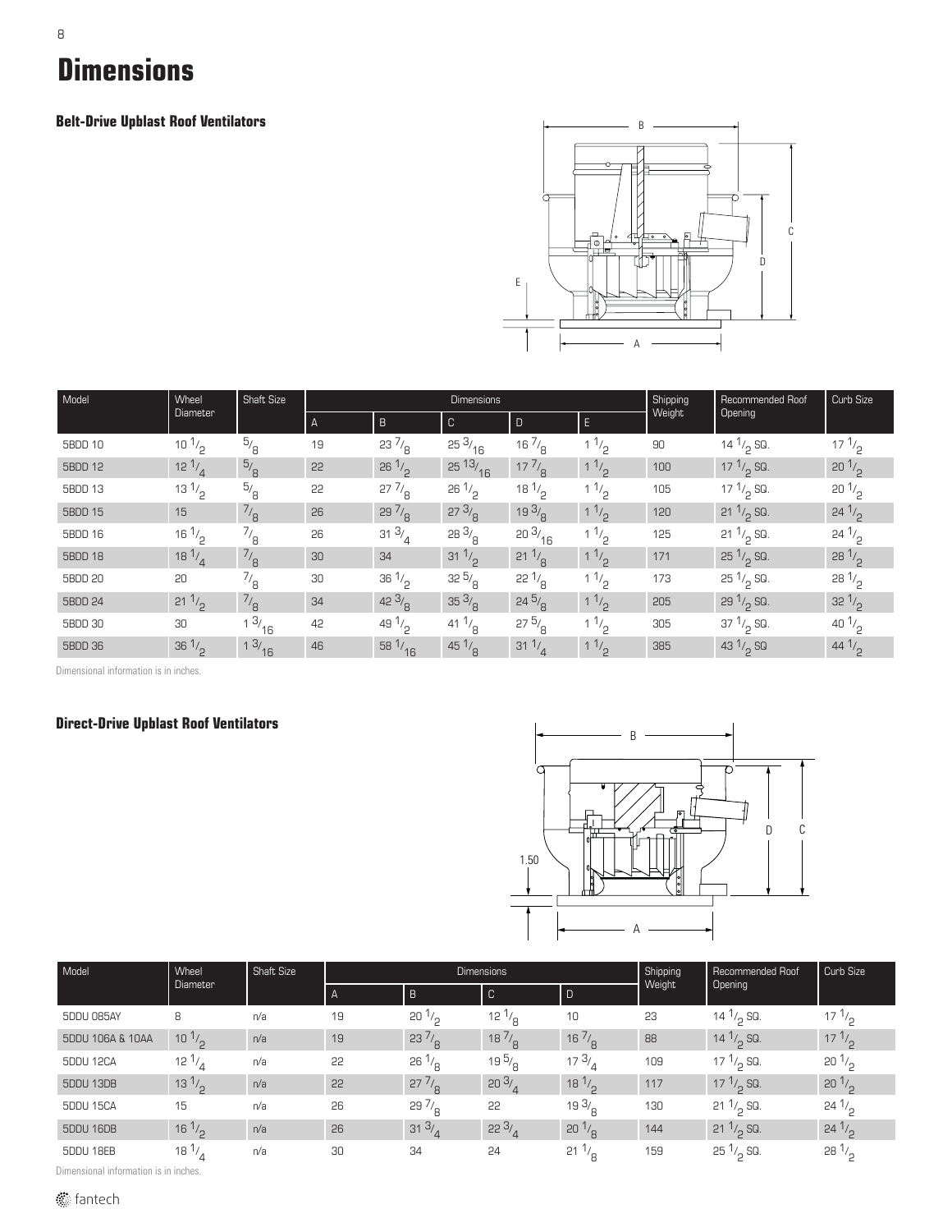### 8 **Dimensions**

**Belt-Drive Upblast Roof Ventilators**



| Model   | Wheel            | <b>Shaft Size</b> |    |                  | <b>Dimensions</b> | Shipping         | Recommended Roof | Curb Size |                     |                  |
|---------|------------------|-------------------|----|------------------|-------------------|------------------|------------------|-----------|---------------------|------------------|
|         | <b>Diameter</b>  |                   | A  | $\overline{B}$   | $\overline{C}$    | $\mathsf E$<br>D |                  | Weight    | <b>Opening</b>      |                  |
| 5BDD 10 | $10^{1/2}$       | $^{5/6}$          | 19 | $23\frac{7}{8}$  | $25 \frac{3}{16}$ | $16\frac{7}{8}$  | 11/2             | 90        | 14 $1/2$ SQ.        | $17 \frac{1}{2}$ |
| 5BDD 12 | $12^{1/4}$       | $\frac{5}{8}$     | 55 | $26\frac{1}{2}$  | $25\frac{13}{16}$ | $17\frac{7}{8}$  | $1^{1/2}$        | 100       | 17 $1/2$ SQ.        | $20^{1/2}$       |
| 5BDD 13 | $13 \frac{1}{2}$ | $^{5/6}$          | 22 | $27\frac{7}{8}$  | $26 \frac{1}{2}$  | $18^{1/2}$       | 11/2             | 105       | 17 $1/2$ SQ.        | $20\frac{1}{2}$  |
| 5BDD 15 | 15               | $\frac{7}{8}$     | 26 | $29\frac{7}{8}$  | $27 \frac{3}{8}$  | 193/8            | 11/2             | 120       | 21 $1/2$ SQ.        | $24^{1/2}$       |
| 5BDD 16 | $16\frac{1}{2}$  | $^{7/6}$          | 26 | $31 \frac{3}{4}$ | 283/8             | 203/16           | 11/2             | 125       | 21 $1/2$ SQ.        | $24^{1/2}$       |
| 5BDD 18 | $18^{1/4}$       | $^{7/}_8$         | 30 | 34               | 31 $1/2$          | $21 \frac{1}{9}$ | 11/2             | 171       | $25\frac{1}{2}$ SQ. | $28\frac{1}{2}$  |
| 5BDD 20 | 20               | $^{7}/_8$         | 30 | $36\frac{1}{2}$  | $32\frac{5}{8}$   | $22^{1/8}$       | $1^{1/2}$        | 173       | $25\frac{1}{9}$ SQ. | $28^{1/2}$       |
| 5BDD 24 | $21 \frac{1}{2}$ | $^{7/}_8$         | 34 | $42 \frac{3}{g}$ | $35 \frac{3}{9}$  | $24\frac{5}{9}$  | $1^{1/2}$        | 205       | $29\frac{1}{2}$ SQ. | $32^{1/2}$       |
| 5BDD 30 | 30               | $1 \frac{3}{16}$  | 42 | 49 $1/2$         | 41 $\frac{1}{8}$  | 275/8            | 11 <sub>2</sub>  | 305       | $37\frac{1}{2}$ SQ. | 40 $1/2$         |
| 5BDD 36 | $36\frac{1}{2}$  | 13/16             | 46 | $58\frac{1}{16}$ | 45 $1/8$          | 31 $\frac{1}{4}$ | 11/2             | 385       | 43 $1/2$ SQ         | 44 $1/2$         |

Dimensional information is in inches.

#### **Direct-Drive Upblast Roof Ventilators**



| Model            | Wheel            | Shaft Size |              |                  | <b>Dimensions</b> | Shipping        | Recommended Roof | Curb Size            |                                |
|------------------|------------------|------------|--------------|------------------|-------------------|-----------------|------------------|----------------------|--------------------------------|
|                  | Diameter         |            | $\mathsf{A}$ | $\overline{B}$   | $\mathbb{C}$      |                 | Weight           | Opening              |                                |
| 5DDU 085AY       | 8                | n/a        | 19           | $20\frac{1}{2}$  | 12 $^{1/8}$       | 10              | 23               | 14 $1/2$ SQ.         | $17 \frac{1}{2}$               |
| 5DDU 106A & 10AA | $10^{1/2}$       | n/a        | 19           | $23\frac{7}{8}$  | $18\frac{7}{8}$   | $16\frac{7}{9}$ | 88               | 14 $\frac{1}{2}$ SQ. | $17^{1/2}$                     |
| 5DDU 12CA        | 12 $\frac{1}{4}$ | n/a        | 55           | $26\frac{1}{6}$  | 19 $\frac{5}{8}$  | $17^{3/2}$      | 109              | 17 $\frac{1}{2}$ SQ. | $20^{\frac{1}{2}}$             |
| 5DDU 13DB        | $13^{1/2}$       | n/a        | 22           | $27\frac{7}{9}$  | 203/2             | $18^{1/2}$      | 117              | 17 $1/2$ SQ.         | 20 <sup>1</sup> / <sub>2</sub> |
| 5DDU 15CA        | 15               | n/a        | 26           | $29\frac{7}{6}$  | 22                | 19 $3/2$        | 130              | $21 \frac{1}{6}$ SQ. | $24^{1/2}$                     |
| 5DDU 16DB        | $16 \frac{1}{2}$ | n/a        | 26           | $31 \frac{3}{4}$ | 223/4             | 20 <sup>1</sup> | 144              | $21 \frac{1}{2}$ SQ. | $24^{1/2}$                     |
| 5DDU 18EB        | $18\frac{1}{4}$  | n/a        | 30           | 34               | 24                | $21^{1/2}$      | 159              | $25\frac{1}{2}$ SQ.  | $28^{1/2}$                     |

Dimensional information is in inches.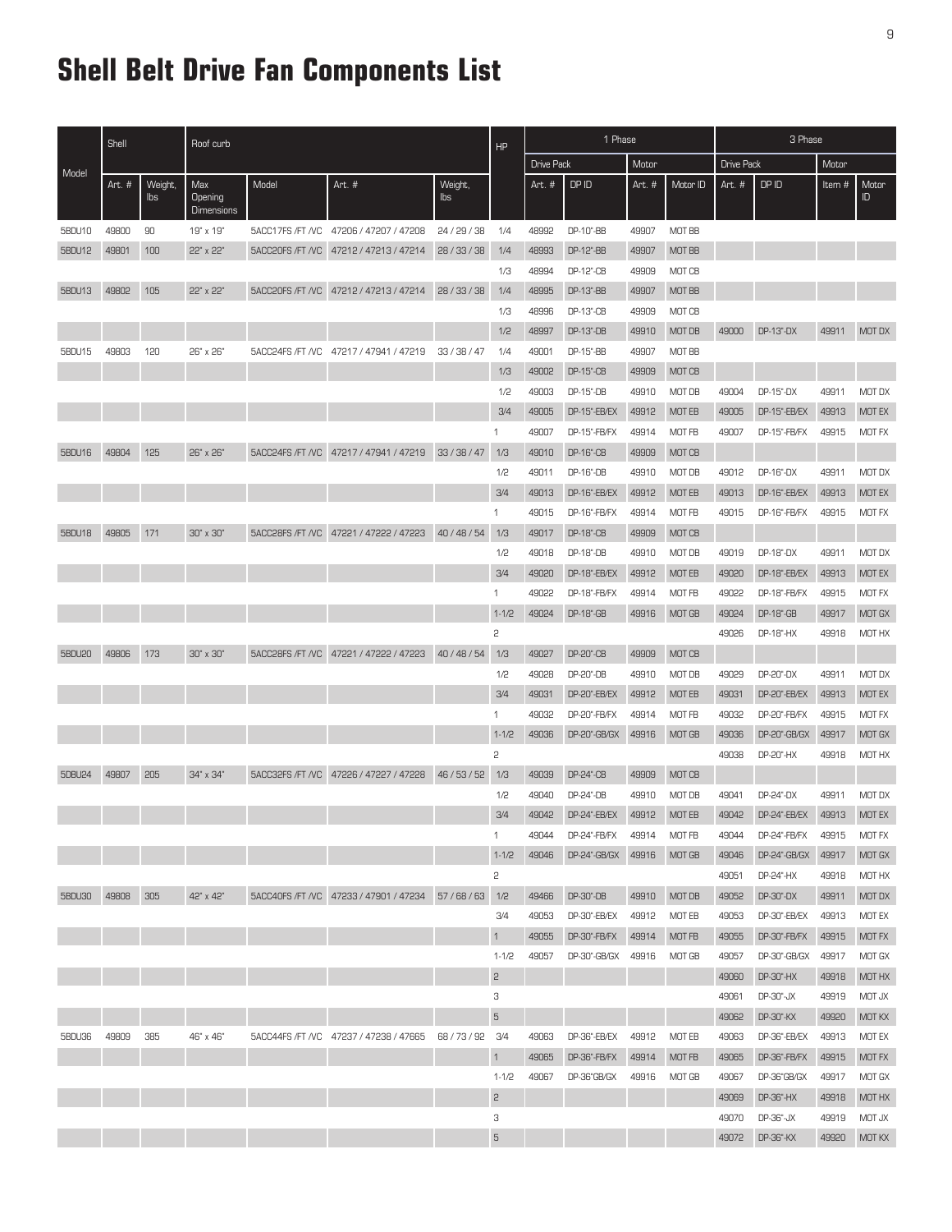### **Shell Belt Drive Fan Components List**

|               | Shell<br>Roof curb |                |                                            |                  |                                                               |                | HP             | 1 Phase |                     |                   |               | 3 Phase |              |        |               |
|---------------|--------------------|----------------|--------------------------------------------|------------------|---------------------------------------------------------------|----------------|----------------|---------|---------------------|-------------------|---------------|---------|--------------|--------|---------------|
| Model         |                    |                |                                            |                  |                                                               | Drive Pack     |                | Motor   |                     | <b>Drive Pack</b> |               | Motor   |              |        |               |
|               | Art. #             | Weight,<br>lbs | Max<br><b>Opening</b><br><b>Dimensions</b> | Model            | Art. #                                                        | Weight,<br>lbs |                | Art. #  | DP ID               | Art. #            | Motor ID      | Art. #  | DP ID        | Item # | Motor<br>ID.  |
| 5BDU10        | 49800              | 90             | 19" x 19"                                  | 5ACC17FS /FT /VC | 47206 / 47207 / 47208                                         | 24/29/38       | 1/4            | 48992   | DP-10"-BB           | 49907             | MOT BB        |         |              |        |               |
| 5BDU12        | 49801              | 100            | 22" x 22"                                  | 5ACC20FS /FT /VC | 47212 / 47213 / 47214                                         | 28 / 33 / 38   | 1/4            | 48993   | DP-12"-BB           | 49907             | <b>MOT BB</b> |         |              |        |               |
|               |                    |                |                                            |                  |                                                               |                | 1/3            | 48994   | DP-12"-CB           | 49909             | MOT CB        |         |              |        |               |
| 5BDU13        | 49802              | 105            | 22" x 22"                                  | 5ACC20FS /FT /VC | 47212 / 47213 / 47214                                         | 28/33/38       | 1/4            | 48995   | DP-13"-BB           | 49907             | <b>MOT BB</b> |         |              |        |               |
|               |                    |                |                                            |                  |                                                               |                | 1/3            | 48996   | DP-13"-CB           | 49909             | MOT CB        |         |              |        |               |
|               |                    |                |                                            |                  |                                                               |                | 1/2            | 48997   | DP-13"-DB           | 49910             | MOT DB        | 49000   | DP-13"-DX    | 49911  | MOT DX        |
| 5BDU15        | 49803              | 120            | 26" x 26"                                  |                  | 5ACC24FS /FT /VC 47217 / 47941 / 47219                        | 33/38/47       | 1/4            | 49001   | DP-15"-BB           | 49907             | MOT BB        |         |              |        |               |
|               |                    |                |                                            |                  |                                                               |                | 1/3            | 49002   | <b>DP-15"-CB</b>    | 49909             | MOT CB        |         |              |        |               |
|               |                    |                |                                            |                  |                                                               |                | 1/2            | 49003   | DP-15"-DB           | 49910             | MOT DB        | 49004   | DP-15"-DX    | 49911  | MOT DX        |
|               |                    |                |                                            |                  |                                                               |                | 3/4            | 49005   | DP-15"-EB/EX        | 49912             | MOT EB        | 49005   | DP-15"-EB/EX | 49913  | MOT EX        |
|               |                    |                |                                            |                  |                                                               |                | 1              | 49007   | DP-15"-FB/FX        | 49914             | MOT FB        | 49007   | DP-15"-FB/FX | 49915  | MOT FX        |
| 5BDU16        | 49804              | 125            | 26" x 26"                                  | 5ACC24FS /FT /VC | 47217 / 47941 / 47219                                         | 33/38/47       | 1/3            | 49010   | DP-16"-CB           | 49909             | MOT CB        |         |              |        |               |
|               |                    |                |                                            |                  |                                                               |                | 1/2            | 49011   | DP-16"-DB           | 49910             | MOT DB        | 49012   | DP-16"-DX    | 49911  | MOT DX        |
|               |                    |                |                                            |                  |                                                               |                | 3/4            | 49013   | DP-16"-EB/EX        | 49912             | <b>MOT EB</b> | 49013   | DP-16"-EB/EX | 49913  | MOT EX        |
|               |                    |                |                                            |                  |                                                               |                | $\mathbf{1}$   | 49015   | DP-16"-FB/FX        | 49914             | MOT FB        | 49015   | DP-16"-FB/FX | 49915  | MOT FX        |
| 5BDU18        | 49805              | 171            | 30" x 30"                                  | 5ACC28FS /FT /VC | 47221 / 47222 / 47223                                         | 40/48/54       | 1/3            | 49017   | DP-18"-CB           | 49909             | MOT CB        |         |              |        |               |
|               |                    |                |                                            |                  |                                                               |                | 1/2            | 49018   | DP-18"-DB           | 49910             | MOT DB        | 49019   | DP-18"-DX    | 49911  | MOT DX        |
|               |                    |                |                                            |                  |                                                               |                | 3/4            | 49020   | DP-18"-EB/EX        | 49912             | MOT EB        | 49020   | DP-18"-EB/EX | 49913  | MOT EX        |
|               |                    |                |                                            |                  |                                                               |                | 1              | 49022   | DP-18"-FB/FX        | 49914             | MOT FB        | 49022   | DP-18"-FB/FX | 49915  | <b>MOT FX</b> |
|               |                    |                |                                            |                  |                                                               |                | $1 - 1/2$      | 49024   | DP-18"-GB           | 49916             | <b>MOT GB</b> | 49024   | DP-18"-GB    | 49917  | MOT GX        |
|               |                    |                |                                            |                  |                                                               |                | 2              |         |                     |                   |               | 49026   | DP-18"-HX    | 49918  | MOT HX        |
| <b>5BDU20</b> | 49806              | 173            | $30^\circ \times 30^\circ$                 | 5ACC28FS /FT /VC | 47221 / 47222 / 47223                                         | 40/48/54       | 1/3            | 49027   | DP-20"-CB           | 49909             | MOT CB        |         |              |        |               |
|               |                    |                |                                            |                  |                                                               |                | 1/2            | 49028   | DP-20"-DB           | 49910             | MOT DB        | 49029   | DP-20"-DX    | 49911  | MOT DX        |
|               |                    |                |                                            |                  |                                                               |                | 3/4            | 49031   | DP-20"-EB/EX        | 49912             | MOT EB        | 49031   | DP-20"-EB/EX | 49913  | MOT EX        |
|               |                    |                |                                            |                  |                                                               |                | 1              | 49032   | <b>DP-20"-FB/FX</b> | 49914             | MOT FB        | 49032   | DP-20"-FB/FX | 49915  | <b>MOT FX</b> |
|               |                    |                |                                            |                  |                                                               |                | $1 - 1/2$      | 49036   | DP-20"-GB/GX        | 49916             | <b>MOT GB</b> | 49036   | DP-20"-GB/GX | 49917  | MOT GX        |
|               |                    |                |                                            |                  |                                                               |                | 2              |         |                     |                   |               | 49038   | DP-20"-HX    | 49918  | MOT HX        |
| 5DBU24        | 49807              | 205            | 34" x 34"                                  | 5ACC32FS /FT /VC | 47226 / 47227 / 47228                                         | 46/53/52       | 1/3            | 49039   | DP-24"-CB           | 49909             | MOT CB        |         |              |        |               |
|               |                    |                |                                            |                  |                                                               |                | 1/2            | 49040   | DP-24"-DB           | 49910             | MOT DB        | 49041   | DP-24"-DX    | 49911  | MOT DX        |
|               |                    |                |                                            |                  |                                                               |                | 3/4            | 49042   | DP-24"-EB/EX        | 49912             | <b>MOT EB</b> | 49042   | DP-24"-EB/EX | 49913  | <b>MOT EX</b> |
|               |                    |                |                                            |                  |                                                               |                | $\mathbf{1}$   | 49044   | DP-24"-FB/FX        | 49914             | MOT FB        | 49044   | DP-24"-FB/FX | 49915  | MOT FX        |
|               |                    |                |                                            |                  |                                                               |                | $1 - 1/2$      | 49046   | DP-24"-GB/GX        | 49916             | MOT GB        | 49046   | DP-24"-GB/GX | 49917  | MOT GX        |
|               |                    |                |                                            |                  |                                                               |                | 2              |         |                     |                   |               | 49051   | DP-24"-HX    | 49918  | MOT HX        |
| 5BDU30        | 49808              | 305            | 42" x 42"                                  |                  | 5ACC40FS /FT /VC   47233 / 47901 / 47234   57 / 68 / 63   1/2 |                |                | 49466   | DP-30"-DB           | 49910             | MOT DB        | 49052   | DP-30"-DX    | 49911  | MOT DX        |
|               |                    |                |                                            |                  |                                                               |                | 3/4            | 49053   | DP-30"-EB/EX        | 49912             | MOT EB        | 49053   | DP-30"-EB/EX | 49913  | MOT EX        |
|               |                    |                |                                            |                  |                                                               |                | $\mathbf{1}$   | 49055   | DP-30"-FB/FX        | 49914             | MOT FB        | 49055   | DP-30"-FB/FX | 49915  | <b>MOT FX</b> |
|               |                    |                |                                            |                  |                                                               |                | $1 - 1/2$      | 49057   | DP-30"-GB/GX        | 49916             | MOT GB        | 49057   | DP-30"-GB/GX | 49917  | MOT GX        |
|               |                    |                |                                            |                  |                                                               |                | $\mathsf{S}$   |         |                     |                   |               | 49060   | DP-30"-HX    | 49918  | MOT HX        |
|               |                    |                |                                            |                  |                                                               |                | З              |         |                     |                   |               | 49061   | DP-30"-JX    | 49919  | <b>MOT JX</b> |
|               |                    |                |                                            |                  |                                                               |                | $\overline{5}$ |         |                     |                   |               | 49062   | DP-30"-KX    | 49920  | MOT KX        |
| 5BDU36        | 49809              | 385            | 46" x 46"                                  |                  | 5ACC44FS /FT /VC 47237 / 47238 / 47665                        | 68/73/92 3/4   |                | 49063   | DP-36"-EB/EX        | 49912             | MOT EB        | 49063   | DP-36"-EB/EX | 49913  | MOT EX        |
|               |                    |                |                                            |                  |                                                               |                | $\mathbf{1}$   | 49065   | DP-36"-FB/FX        | 49914             | MOT FB        | 49065   | DP-36"-FB/FX | 49915  | MOT FX        |
|               |                    |                |                                            |                  |                                                               |                | $1 - 1/2$      | 49067   | DP-36"GB/GX         | 49916             | MOT GB        | 49067   | DP-36"GB/GX  | 49917  | MOT GX        |
|               |                    |                |                                            |                  |                                                               |                | $\mathsf{S}$   |         |                     |                   |               | 49069   | DP-36"-HX    | 49918  | MOT HX        |
|               |                    |                |                                            |                  |                                                               |                | З              |         |                     |                   |               | 49070   | DP-36"-JX    | 49919  | <b>MOT JX</b> |
|               |                    |                |                                            |                  |                                                               |                | $\mathbf 5$    |         |                     |                   |               | 49072   | DP-36"-KX    | 49920  | MOT KX        |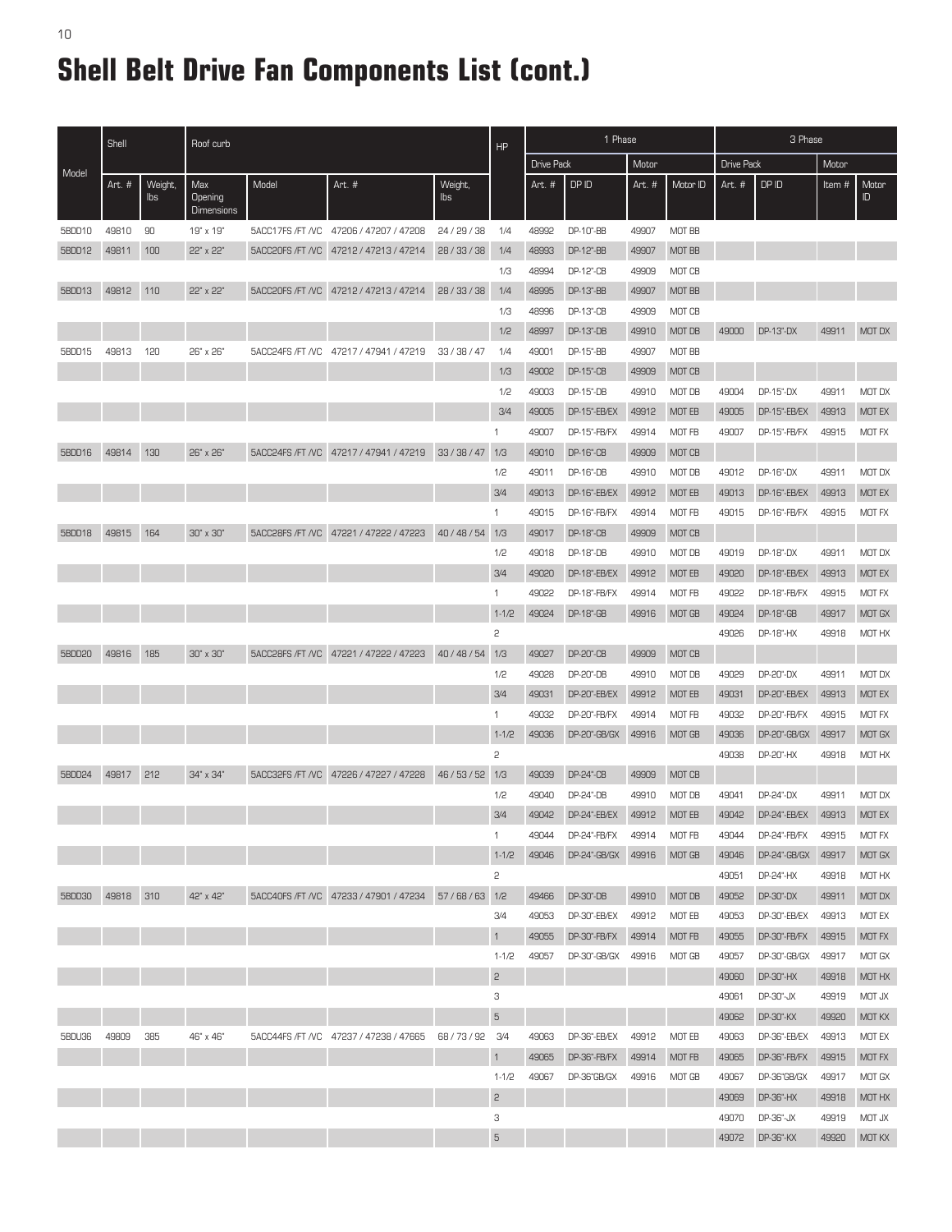## **Shell Belt Drive Fan Components List (cont.)**

|        | Shell<br>Roof curb |                |                                     |                  |                                                               | HP             | 1 Phase        |                   |                  |        | 3 Phase       |            |              |       |               |
|--------|--------------------|----------------|-------------------------------------|------------------|---------------------------------------------------------------|----------------|----------------|-------------------|------------------|--------|---------------|------------|--------------|-------|---------------|
|        |                    |                |                                     |                  |                                                               |                |                | <b>Drive Pack</b> |                  | Motor  |               | Drive Pack |              | Motor |               |
| Model  | Art. #             | Weight,<br>lbs | Max<br>Opening<br><b>Dimensions</b> | Model            | Art. #                                                        | Weight,<br>lbs |                | Art. #            | DP ID            | Art. # | Motor ID      | Art. #     | DP ID        | Item# | Motor<br>ID.  |
| 5BDD10 | 49810              | 90             | 19" x 19"                           |                  | 5ACC17FS /FT /VC 47206 / 47207 / 47208                        | 24 / 29 / 38   | 1/4            | 48992             | DP-10"-BB        | 49907  | MOT BB        |            |              |       |               |
| 5BDD12 | 49811              | 100            | 22" x 22"                           | 5ACC20FS /FT /VC | 47212 / 47213 / 47214                                         | 28/33/38       | 1/4            | 48993             | DP-12"-BB        | 49907  | MOT BB        |            |              |       |               |
|        |                    |                |                                     |                  |                                                               |                | 1/3            | 48994             | DP-12"-CB        | 49909  | MOT CB        |            |              |       |               |
| 5BDD13 | 49812              | 110            | 22" x 22"                           | 5ACC20FS /FT /VC | 47212 / 47213 / 47214                                         | 28/33/38       | 1/4            | 48995             | DP-13"-BB        | 49907  | <b>MOT BB</b> |            |              |       |               |
|        |                    |                |                                     |                  |                                                               |                | 1/3            | 48996             | DP-13"-CB        | 49909  | MOT CB        |            |              |       |               |
|        |                    |                |                                     |                  |                                                               |                | 1/2            | 48997             | DP-13"-DB        | 49910  | MOT DB        | 49000      | DP-13"-DX    | 49911 | MOT DX        |
| 5BDD15 | 49813              | 120            | 26" x 26"                           | 5ACC24FS /FT /VC | 47217 / 47941 / 47219                                         | 33 / 38 / 47   | 1/4            | 49001             | DP-15"-BB        | 49907  | MOT BB        |            |              |       |               |
|        |                    |                |                                     |                  |                                                               |                | 1/3            | 49002             | DP-15"-CB        | 49909  | MOT CB        |            |              |       |               |
|        |                    |                |                                     |                  |                                                               |                | 1/2            | 49003             | DP-15"-DB        | 49910  | MOT DB        | 49004      | DP-15"-DX    | 49911 | MOT DX        |
|        |                    |                |                                     |                  |                                                               |                | 3/4            | 49005             | DP-15"-EB/EX     | 49912  | MOT EB        | 49005      | DP-15"-EB/EX | 49913 | MOT EX        |
|        |                    |                |                                     |                  |                                                               |                | 1              | 49007             | DP-15"-FB/FX     | 49914  | MOT FB        | 49007      | DP-15"-FB/FX | 49915 | MOT FX        |
| 5BDD16 | 49814              | 130            | 26" x 26"                           | 5ACC24FS /FT /VC | 47217 / 47941 / 47219                                         | 33/38/47       | 1/3            | 49010             | <b>DP-16"-CB</b> | 49909  | MOT CB        |            |              |       |               |
|        |                    |                |                                     |                  |                                                               |                | 1/2            | 49011             | DP-16"-DB        | 49910  | MOT DB        | 49012      | DP-16"-DX    | 49911 | MOT DX        |
|        |                    |                |                                     |                  |                                                               |                | 3/4            | 49013             | DP-16"-EB/EX     | 49912  | MOT EB        | 49013      | DP-16"-EB/EX | 49913 | <b>MOT EX</b> |
|        |                    |                |                                     |                  |                                                               |                | $\mathbf 1$    | 49015             | DP-16"-FB/FX     | 49914  | MOT FB        | 49015      | DP-16"-FB/FX | 49915 | MOT FX        |
| 5BDD18 | 49815              | 164            | 30" x 30"                           | 5ACC28FS /FT /VC | 47221 / 47222 / 47223                                         | 40/48/54       | 1/3            | 49017             | <b>DP-18"-CB</b> | 49909  | MOT CB        |            |              |       |               |
|        |                    |                |                                     |                  |                                                               |                | 1/2            | 49018             | DP-18"-DB        | 49910  | MOT DB        | 49019      | DP-18"-DX    | 49911 | MOT DX        |
|        |                    |                |                                     |                  |                                                               |                | 3/4            | 49020             | DP-18"-EB/EX     | 49912  | <b>MOT EB</b> | 49020      | DP-18"-EB/EX | 49913 | <b>MOT EX</b> |
|        |                    |                |                                     |                  |                                                               |                | $\mathbf{1}$   | 49022             | DP-18"-FB/FX     | 49914  | MOT FB        | 49022      | DP-18"-FB/FX | 49915 | MOT FX        |
|        |                    |                |                                     |                  |                                                               |                | $1 - 1/2$      | 49024             | DP-18"-GB        | 49916  | MOT GB        | 49024      | DP-18"-GB    | 49917 | MOT GX        |
|        |                    |                |                                     |                  |                                                               |                | 2              |                   |                  |        |               | 49026      | DP-18"-HX    | 49918 | MOT HX        |
| 5BDD20 | 49816              | 185            | 30" x 30"                           | 5ACC28FS /FT /VC | 47221 / 47222 / 47223                                         | 40/48/54       | 1/3            | 49027             | DP-20"-CB        | 49909  | MOT CB        |            |              |       |               |
|        |                    |                |                                     |                  |                                                               |                | 1/2            | 49028             | DP-20"-DB        | 49910  | MOT DB        | 49029      | DP-20"-DX    | 49911 | MOT DX        |
|        |                    |                |                                     |                  |                                                               |                | 3/4            | 49031             | DP-20"-EB/EX     | 49912  | MOT EB        | 49031      | DP-20"-EB/EX | 49913 | MOT EX        |
|        |                    |                |                                     |                  |                                                               |                | $\mathbf{1}$   | 49032             | DP-20"-FB/FX     | 49914  | MOT FB        | 49032      | DP-20"-FB/FX | 49915 | MOT FX        |
|        |                    |                |                                     |                  |                                                               |                | $1 - 1/2$      | 49036             | DP-20"-GB/GX     | 49916  | <b>MOT GB</b> | 49036      | DP-20"-GB/GX | 49917 | MOT GX        |
|        |                    |                |                                     |                  |                                                               |                | 2              |                   |                  |        |               | 49038      | DP-20"-HX    | 49918 | MOT HX        |
| 5BDD24 | 49817              | 212            | 34" x 34"                           | 5ACC32FS /FT /VC | 47226 / 47227 / 47228                                         | 46/53/52       | 1/3            | 49039             | DP-24"-CB        | 49909  | MOT CB        |            |              |       |               |
|        |                    |                |                                     |                  |                                                               |                | 1/2            | 49040             | DP-24"-DB        | 49910  | MOT DB        | 49041      | DP-24"-DX    | 49911 | MOT DX        |
|        |                    |                |                                     |                  |                                                               |                | 3/4            | 49042             | DP-24"-EB/EX     | 49912  | <b>MOT EB</b> | 49042      | DP-24"-EB/EX | 49913 | MOT EX        |
|        |                    |                |                                     |                  |                                                               |                | 1              | 49044             | DP-24"-FB/FX     | 49914  | MOT FB        | 49044      | DP-24"-FB/FX | 49915 | MOT FX        |
|        |                    |                |                                     |                  |                                                               |                | $1 - 1/2$      | 49046             | DP-24"-GB/GX     | 49916  | MOT GB        | 49046      | DP-24"-GB/GX | 49917 | MOT GX        |
|        |                    |                |                                     |                  |                                                               |                | 2              |                   |                  |        |               | 49051      | DP-24"-HX    | 49918 | MOT HX        |
| 5BDD30 | 49818              | 310            | 42" x 42"                           |                  | 5ACC40FS /FT /VC   47233 / 47901 / 47234   57 / 68 / 63   1/2 |                |                | 49466             | DP-30"-DB        | 49910  | MOT DB        | 49052      | DP-30"-DX    | 49911 | MOT DX        |
|        |                    |                |                                     |                  |                                                               |                | 3/4            | 49053             | DP-30"-EB/EX     | 49912  | MOT EB        | 49053      | DP-30"-EB/EX | 49913 | MOT EX        |
|        |                    |                |                                     |                  |                                                               |                | $\mathbf{1}$   | 49055             | DP-30"-FB/FX     | 49914  | MOT FB        | 49055      | DP-30"-FB/FX | 49915 | MOT FX        |
|        |                    |                |                                     |                  |                                                               |                | $1 - 1/2$      | 49057             | DP-30"-GB/GX     | 49916  | MOT GB        | 49057      | DP-30"-GB/GX | 49917 | MOT GX        |
|        |                    |                |                                     |                  |                                                               |                | $\overline{c}$ |                   |                  |        |               | 49060      | DP-30"-HX    | 49918 | MOT HX        |
|        |                    |                |                                     |                  |                                                               |                | 3              |                   |                  |        |               | 49061      | DP-30"-JX    | 49919 | <b>MOT JX</b> |
|        |                    |                |                                     |                  |                                                               |                | $\mathbf 5$    |                   |                  |        |               | 49062      | DP-30"-KX    | 49920 | MOT KX        |
| 5BDU36 | 49809              | 385            | 46" x 46"                           |                  | 5ACC44FS /FT /VC 47237 / 47238 / 47665                        | 68/73/92       | 3/4            | 49063             | DP-36"-EB/EX     | 49912  | MOT EB        | 49063      | DP-36"-EB/EX | 49913 | MOT EX        |
|        |                    |                |                                     |                  |                                                               |                | $\mathbf{1}$   | 49065             | DP-36"-FB/FX     | 49914  | MOT FB        | 49065      | DP-36"-FB/FX | 49915 | MOT FX        |
|        |                    |                |                                     |                  |                                                               |                | $1 - 1/2$      | 49067             | DP-36"GB/GX      | 49916  | MOT GB        | 49067      | DP-36"GB/GX  | 49917 | MOT GX        |
|        |                    |                |                                     |                  |                                                               |                | $\mathbf{c}$   |                   |                  |        |               | 49069      | DP-36"-HX    | 49918 | MOT HX        |
|        |                    |                |                                     |                  |                                                               |                | 3              |                   |                  |        |               | 49070      | DP-36"-JX    | 49919 | MOT JX        |
|        |                    |                |                                     |                  |                                                               |                | $\mathbf 5$    |                   |                  |        |               | 49072      | DP-36"-KX    | 49920 | MOT KX        |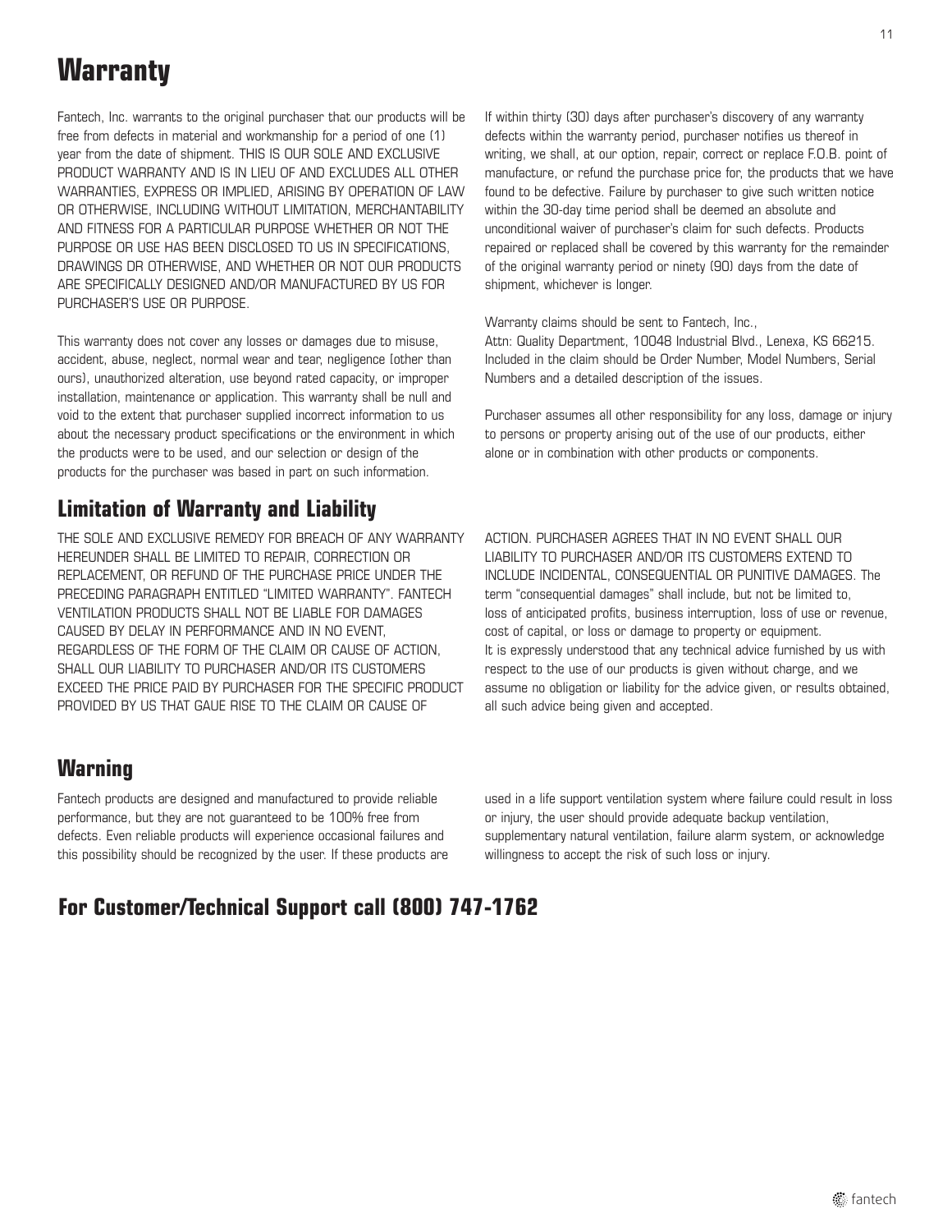### **Warranty**

Fantech, Inc. warrants to the original purchaser that our products will be free from defects in material and workmanship for a period of one (1) year from the date of shipment. THIS IS OUR SOLE AND EXCLUSlVE PRODUCT WARRANTY AND IS IN LIEU OF AND EXCLUDES ALL OTHER WARRANTIES, EXPRESS OR IMPLIED, ARISING BY OPERATION OF LAW OR OTHERWISE, INCLUDING WITHOUT LIMITATION, MERCHANTABILITY AND FITNESS FOR A PARTICULAR PURPOSE WHETHER OR NOT THE PURPOSE OR USE HAS BEEN DISCLOSED TO US IN SPECIFICATIONS, DRAWINGS DR OTHERWISE, AND WHETHER OR NOT OUR PRODUCTS ARE SPECIFICALLY DESIGNED AND/OR MANUFACTURED BY US FOR PURCHASER'S USE OR PURPOSE.

This warranty does not cover any losses or damages due to misuse, accident, abuse, neglect, normal wear and tear, negligence [other than ours), unauthorized alteration, use beyond rated capacity, or improper installation, maintenance or application. This warranty shall be null and void to the extent that purchaser supplied incorrect information to us about the necessary product specifications or the environment in which the products were to be used, and our selection or design of the products for the purchaser was based in part on such information.

### **Limitation of Warranty and Liability**

THE SOLE AND EXCLUSIVE REMEDY FOR BREACH OF ANY WARRANTY HEREUNDER SHALL BE LIMITED TO REPAIR, CORRECTION OR REPLACEMENT, OR REFUND OF THE PURCHASE PRICE UNDER THE PRECEDING PARAGRAPH ENTITLED "LIMITED WARRANTY". FANTECH VENTILATION PRODUCTS SHALL NOT BE LIABLE FOR DAMAGES CAUSED BY DELAY IN PERFORMANCE AND IN NO EVENT, REGARDLESS OF THE FORM OF THE CLAIM OR CAUSE OF ACTION, SHALL OUR LIABILITY TO PURCHASER AND/OR ITS CUSTOMERS EXCEED THE PRICE PAID BY PURCHASER FOR THE SPECIFIC PRODUCT PROVIDED BY US THAT GAUE RISE TO THE CLAIM OR CAUSE OF

If within thirty (30) days after purchaser's discovery of any warranty defects within the warranty period, purchaser notifies us thereof in writing, we shall, at our option, repair, correct or replace F.O.B. point of manufacture, or refund the purchase price for, the products that we have found to be defective. Failure by purchaser to give such written notice within the 30-day time period shall be deemed an absolute and unconditional waiver of purchaser's claim for such defects. Products repaired or replaced shall be covered by this warranty for the remainder of the original warranty period or ninety (90) days from the date of shipment, whichever is longer.

Warranty claims should be sent to Fantech, Inc., Attn: Quality Department, 10048 Industrial Blvd., Lenexa, KS 66215. Included in the claim should be Order Number, Model Numbers, Serial Numbers and a detailed description of the issues.

Purchaser assumes all other responsibility for any loss, damage or injury to persons or property arising out of the use of our products, either alone or in combination with other products or components.

ACTION. PURCHASER AGREES THAT IN NO EVENT SHALL OUR LIABILITY TO PURCHASER AND/OR ITS CUSTOMERS EXTEND TO INCLUDE INCIDENTAL, CONSEQUENTIAL OR PUNITIVE DAMAGES. The term "consequential damages" shall include, but not be limited to, loss of anticipated profits, business interruption, loss of use or revenue, cost of capital, or loss or damage to property or equipment. It is expressly understood that any technical advice furnished by us with respect to the use of our products is given without charge, and we assume no obligation or liability for the advice given, or results obtained, all such advice being given and accepted.

#### **Warning**

Fantech products are designed and manufactured to provide reliable performance, but they are not guaranteed to be 100% free from defects. Even reliable products will experience occasional failures and this possibility should be recognized by the user. If these products are used in a life support ventilation system where failure could result in loss or injury, the user should provide adequate backup ventilation, supplementary natural ventilation, failure alarm system, or acknowledge willingness to accept the risk of such loss or injury.

### **For Customer/Technical Support call (800) 747-1762**